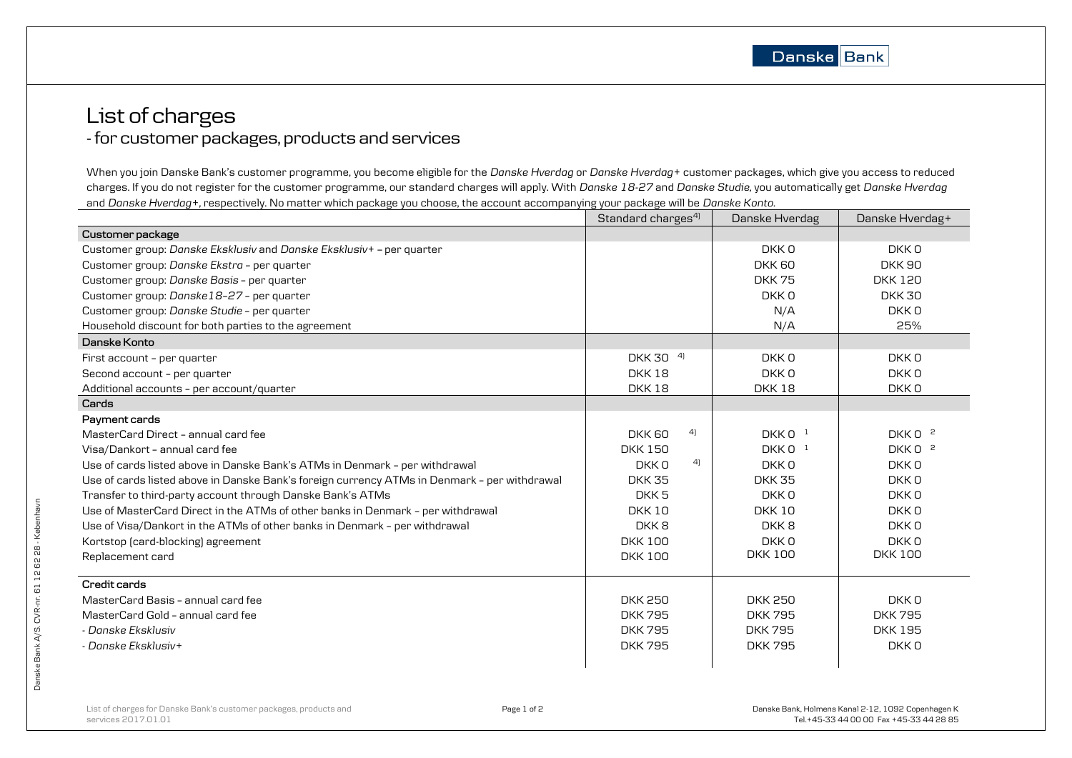## List of charges - for customer packages, products and services

When you join Danske Bank's customer programme, you become eligible for the *Danske Hverdag* or *Danske Hverdag+* customer packages, which give you access to reduced charges. If you do not register for the customer programme, our standard charges will apply. With *Danske 18-27* and *Danske Studie,* you automatically get *Danske Hverdag* and *Danske Hverdag+,* respectively. No matter which package you choose, the account accompanying your package will be *Danske Konto*.

|                                                                                              | Standard charges <sup>4)</sup> | Danske Hverdag   | Danske Hverdag+    |
|----------------------------------------------------------------------------------------------|--------------------------------|------------------|--------------------|
| Customer package                                                                             |                                |                  |                    |
| Customer group: Danske Eksklusiv and Danske Eksklusiv+ - per quarter                         |                                | DKK 0            | DKKO               |
| Customer group: Danske Ekstra - per quarter                                                  |                                | DKK 60           | <b>DKK 90</b>      |
| Customer group: Danske Basis - per quarter                                                   |                                | <b>DKK75</b>     | <b>DKK 120</b>     |
| Customer group: Danske18-27 - per quarter                                                    |                                | DKK 0            | <b>DKK 30</b>      |
| Customer group: Danske Studie - per quarter                                                  |                                | N/A              | DKK <sub>0</sub>   |
| Household discount for both parties to the agreement                                         |                                | N/A              | 25%                |
| Danske Konto                                                                                 |                                |                  |                    |
| First account - per quarter                                                                  | DKK 30 <sup>4</sup>            | DKK 0            | DKK <sub>0</sub>   |
| Second account - per quarter                                                                 | <b>DKK18</b>                   | DKK 0            | DKK 0              |
| Additional accounts - per account/quarter                                                    | <b>DKK18</b>                   | <b>DKK18</b>     | DKK0               |
| Cards                                                                                        |                                |                  |                    |
| Payment cards                                                                                |                                |                  |                    |
| MasterCard Direct - annual card fee                                                          | 4)<br><b>DKK 60</b>            | DKK $01$         | DKK 0 <sup>2</sup> |
| Visa/Dankort - annual card fee                                                               | <b>DKK 150</b>                 | DKK $01$         | DKK 0 <sup>2</sup> |
| Use of cards listed above in Danske Bank's ATMs in Denmark - per withdrawal                  | 4<br>DKK 0                     | DKK 0            | DKK 0              |
| Use of cards listed above in Danske Bank's foreign currency ATMs in Denmark - per withdrawal | <b>DKK 35</b>                  | <b>DKK35</b>     | DKK <sub>0</sub>   |
| Transfer to third-party account through Danske Bank's ATMs                                   | DKK <sub>5</sub>               | DKK 0            | DKK 0              |
| Use of MasterCard Direct in the ATMs of other banks in Denmark - per withdrawal              | <b>DKK10</b>                   | <b>DKK10</b>     | DKK <sub>0</sub>   |
| Use of Visa/Dankort in the ATMs of other banks in Denmark - per withdrawal                   | DKK8                           | DKK <sub>8</sub> | DKK <sub>0</sub>   |
| Kortstop (card-blocking) agreement                                                           | <b>DKK 100</b>                 | DKK 0            | DKKO               |
| Replacement card                                                                             | <b>DKK 100</b>                 | <b>DKK 100</b>   | <b>DKK100</b>      |
| Credit cards                                                                                 |                                |                  |                    |
| MasterCard Basis - annual card fee                                                           | <b>DKK 250</b>                 | <b>DKK 250</b>   | DKK 0              |
| MasterCard Gold - annual card fee                                                            | <b>DKK795</b>                  | <b>DKK795</b>    | <b>DKK795</b>      |
| - Danske Eksklusiv                                                                           | <b>DKK795</b>                  | <b>DKK795</b>    | <b>DKK195</b>      |
| - Danske Eksklusiv+                                                                          | <b>DKK795</b>                  | <b>DKK795</b>    | DKK0               |
|                                                                                              |                                |                  |                    |